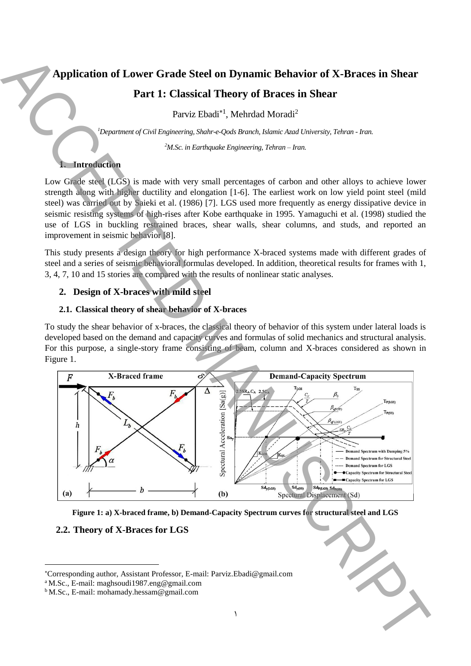# **Application of Lower Grade Steel on Dynamic Behavior of X-Braces in Shear**

# **Part 1: Classical Theory of Braces in Shear**

Parviz Ebadi<sup>\*1</sup>, Mehrdad Moradi<sup>2</sup>

*<sup>1</sup>Department of Civil Engineering, Shahr-e-Qods Branch, Islamic Azad University, Tehran - Iran.*

*<sup>2</sup>M.Sc. in Earthquake Engineering, Tehran – Iran.*

# **1. Introduction**

Low Grade steel (LGS) is made with very small percentages of carbon and other alloys to achieve lower strength along with higher ductility and elongation [1-6]. The earliest work on low yield point steel (mild steel) was carried out by Saieki et al. (1986) [7]. LGS used more frequently as energy dissipative device in seismic resisting systems of high-rises after Kobe earthquake in 1995. Yamaguchi et al. (1998) studied the use of LGS in buckling restrained braces, shear walls, shear columns, and studs, and reported an improvement in seismic behavior [8].

This study presents a design theory for high performance X-braced systems made with different grades of steel and a series of seismic behavioral formulas developed. In addition, theoretical results for frames with 1, 3, 4, 7, 10 and 15 stories are compared with the results of nonlinear static analyses.

# **2. Design of X-braces with mild steel**

### **2.1. Classical theory of shear behavior of X-braces**

To study the shear behavior of x-braces, the classical theory of behavior of this system under lateral loads is developed based on the demand and capacity curves and formulas of solid mechanics and structural analysis. For this purpose, a single-story frame consisting of beam, column and X-braces considered as shown in Figure 1.



**Figure 1: a) X-braced frame, b) Demand-Capacity Spectrum curves for structural steel and LGS**

# **2.2. Theory of X-Braces for LGS**

**.** 

Corresponding author, Assistant Professor, E-mail: Parviz.Ebadi@gmail.com

<sup>a</sup> M.Sc., E-mail: maghsoudi1987.eng@gmail.com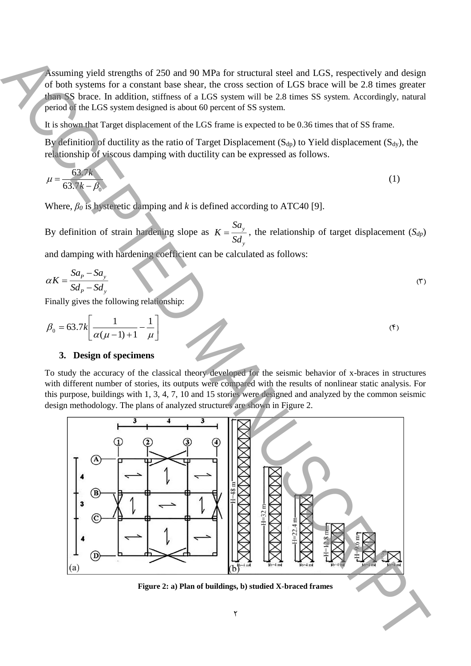Assuming yield strengths of 250 and 90 MPa for structural steel and LGS, respectively and design of both systems for a constant base shear, the cross section of LGS brace will be 2.8 times greater than SS brace. In addition, stiffness of a LGS system will be 2.8 times SS system. Accordingly, natural period of the LGS system designed is about 60 percent of SS system.

It is shown that Target displacement of the LGS frame is expected to be 0.36 times that of SS frame.

By definition of ductility as the ratio of Target Displacement ( $S<sub>dp</sub>$ ) to Yield displacement ( $S<sub>dy</sub>$ ), the relationship of viscous damping with ductility can be expressed as follows.

$$
\mu = \frac{63.7k}{63.7k - \beta_0} \tag{1}
$$

Where,  $\beta_0$  is hysteretic damping and *k* is defined according to ATC40 [9].

By definition of strain hardening slope as  $K = \frac{Sa_y}{\sigma^2}$ *y K*  $=\frac{\sum y_i}{Sd}$ , the relationship of target displacement (*S<sub>dp</sub>*) and damping with hardening coefficient can be calculated as follows:

$$
\alpha K = \frac{Sa_p - Sa_y}{Sd_p - Sd_y} \tag{5}
$$

Finally gives the following relationship:

$$
\beta_0 = 63.7k \left[ \frac{1}{\alpha(\mu - 1) + 1} - \frac{1}{\mu} \right]
$$
\n<sup>(\*)</sup>

#### **3. Design of specimens**

To study the accuracy of the classical theory developed for the seismic behavior of x-braces in structures with different number of stories, its outputs were compared with the results of nonlinear static analysis. For this purpose, buildings with 1, 3, 4, 7, 10 and 15 stories were designed and analyzed by the common seismic design methodology. The plans of analyzed structures are shown in Figure 2.

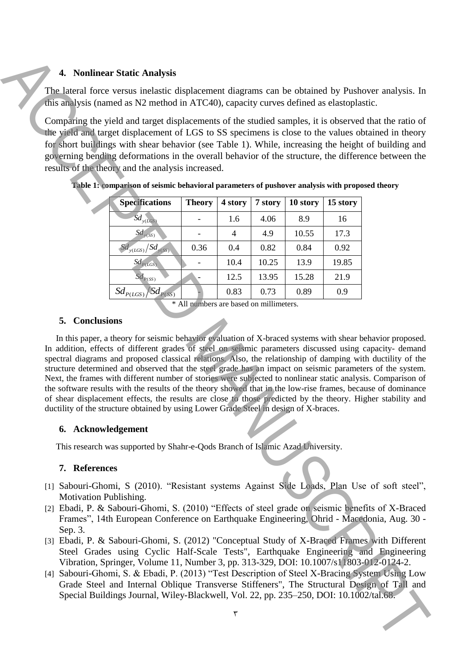# **4. Nonlinear Static Analysis**

The lateral force versus inelastic displacement diagrams can be obtained by Pushover analysis. In this analysis (named as N2 method in ATC40), capacity curves defined as elastoplastic.

Comparing the yield and target displacements of the studied samples, it is observed that the ratio of the yield and target displacement of LGS to SS specimens is close to the values obtained in theory for short buildings with shear behavior (see Table 1). While, increasing the height of building and governing bending deformations in the overall behavior of the structure, the difference between the results of the theory and the analysis increased.

| <b>Specifications</b>               | <b>Theory</b> | 4 story | 7 story | 10 story | 15 story |
|-------------------------------------|---------------|---------|---------|----------|----------|
| $Sd_{y(LGS)}$                       |               | 1.6     | 4.06    | 8.9      | 16       |
| $Sd_{y(SS)}$                        |               |         | 4.9     | 10.55    | 17.3     |
| $\overline{Sd_{y(LGS)}}/Sd_{y(SS)}$ | 0.36          | 0.4     | 0.82    | 0.84     | 0.92     |
| $Sd_{P(LGS)}$                       |               | 10.4    | 10.25   | 13.9     | 19.85    |
| $Sd_{P(SS)}$                        |               | 12.5    | 13.95   | 15.28    | 21.9     |
| $Sd_{P(LGS)}$ $Sd_{P(SS)}$          |               | 0.83    | 0.73    | 0.89     | 0.9      |

**Table 1: comparison of seismic behavioral parameters of pushover analysis with proposed theory**

\* All numbers are based on millimeters.

### **5. Conclusions**

In this paper, a theory for seismic behavior evaluation of X-braced systems with shear behavior proposed. In addition, effects of different grades of steel on seismic parameters discussed using capacity- demand spectral diagrams and proposed classical relations. Also, the relationship of damping with ductility of the structure determined and observed that the steel grade has an impact on seismic parameters of the system. Next, the frames with different number of stories were subjected to nonlinear static analysis. Comparison of the software results with the results of the theory showed that in the low-rise frames, because of dominance of shear displacement effects, the results are close to those predicted by the theory. Higher stability and ductility of the structure obtained by using Lower Grade Steel in design of X-braces. **1.** Nowlinear Startic Amalysis<br>
This analysis tunnol at N2 method in ATC-00, experience con the obtained scaling<br>
Comparing the yield and target displacements of the sameled scaling<br>
Comparing the yield and target displa

# **6. Acknowledgement**

This research was supported by Shahr-e-Qods Branch of Islamic Azad University.

# **7. References**

- [1] Sabouri-Ghomi, S (2010). "Resistant systems Against Side Loads, Plan Use of soft steel", Motivation Publishing.
- [2] Ebadi, P. & Sabouri-Ghomi, S. (2010) "Effects of steel grade on seismic benefits of X-Braced Frames", 14th European Conference on Earthquake Engineering, Ohrid - Macedonia, Aug. 30 - Sep. 3.
- [3] Ebadi, P. & Sabouri-Ghomi, S. (2012) "Conceptual Study of X-Braced Frames with Different Steel Grades using Cyclic Half-Scale Tests", Earthquake Engineering and Engineering Vibration, Springer, Volume 11, Number 3, pp. 313-329, DOI: 10.1007/s11803-012-0124-2.
- [4] Sabouri-Ghomi, S. & Ebadi, P. (2013) "Test Description of Steel X-Bracing System Using Low Grade Steel and Internal Oblique Transverse Stiffeners", The Structural Design of Tall and